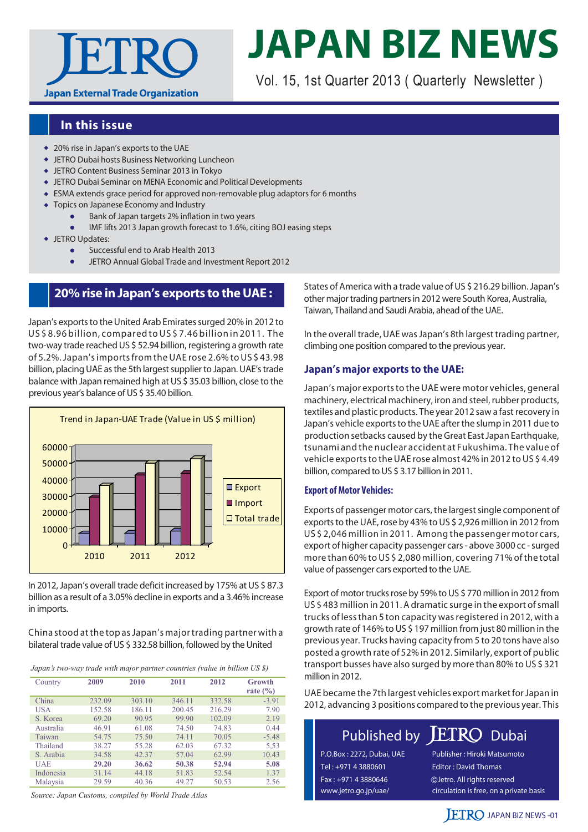

# **JAPAN BIZ NEWS**

Vol. 15, 1st Quarter 2013 ( Quarterly Newsletter )

## **In this issue**

- 20% rise in Japan's exports to the UAE
- JETRO Dubai hosts Business Networking Luncheon
- JETRO Content Business Seminar 2013 in Tokyo
- JETRO Dubai Seminar on MENA Economic and Political Developments
- ESMA extends grace period for approved non-removable plug adaptors for 6 months
- Topics on Japanese Economy and Industry
	- Bank of Japan targets 2% inflation in two years
	- IMF lifts 2013 Japan growth forecast to 1.6%, citing BOJ easing steps
- JETRO Updates:
	- Successful end to Arab Health 2013
	- JETRO Annual Global Trade and Investment Report 2012

## **20% rise in Japan's exports to the UAE :**

Japan's exports to the United Arab Emirates surged 20% in 2012 to US \$ 8.96 billion, compared to US \$ 7.46 billion in 2011. The two-way trade reached US \$ 52.94 billion, registering a growth rate of 5.2%. Japan's imports from the UAE rose 2.6% to US \$ 43.98 billion, placing UAE as the 5th largest supplier to Japan. UAE's trade balance with Japan remained high at US \$ 35.03 billion, close to the



In 2012, Japan's overall trade deficit increased by 175% at US \$ 87.3 billion as a result of a 3.05% decline in exports and a 3.46% increase in imports.

China stood at the top as Japan's major trading partner with a bilateral trade value of US \$ 332.58 billion, followed by the United

*Japan's two-way trade with major partner countries (value in billion US \$)*

| Country    | 2009   | 2010   | 2011   | 2012   | Growth<br>rate $(\% )$ |
|------------|--------|--------|--------|--------|------------------------|
| China      | 232.09 | 303.10 | 346.11 | 332.58 | $-3.91$                |
| <b>USA</b> | 152.58 | 186.11 | 200.45 | 216.29 | 7.90                   |
| S. Korea   | 69.20  | 90.95  | 99.90  | 102.09 | 2.19                   |
| Australia  | 46.91  | 61.08  | 74.50  | 74.83  | 0.44                   |
| Taiwan     | 54.75  | 75.50  | 74.11  | 70.05  | $-5.48$                |
| Thailand   | 38.27  | 55.28  | 62.03  | 67.32  | 5.53                   |
| S. Arabia  | 34.58  | 42.37  | 57.04  | 62.99  | 10.43                  |
| <b>UAE</b> | 29.20  | 36.62  | 50.38  | 52.94  | 5.08                   |
| Indonesia  | 31.14  | 44.18  | 51.83  | 52.54  | 1.37                   |
| Malaysia   | 29.59  | 40.36  | 49.27  | 50.53  | 2.56                   |

*Source: Japan Customs, compiled by World Trade Atlas*

States of America with a trade value of US \$ 216.29 billion. Japan's other major trading partners in 2012 were South Korea, Australia, Taiwan, Thailand and Saudi Arabia, ahead of the UAE.

In the overall trade, UAE was Japan's 8th largest trading partner, climbing one position compared to the previous year.

#### **Japan's major exports to the UAE:**

previous year's balance of US \$ 35.40 billion. Japan's major exports to the UAE were motor vehicles, general machinery, electrical machinery, iron and steel, rubber products, textiles and plastic products. The year 2012 saw a fast recovery in Japan's vehicle exports to the UAE after the slump in 2011 due to production setbacks caused by the Great East Japan Earthquake, tsunami and the nuclear accident at Fukushima. The value of vehicle exports to the UAE rose almost 42% in 2012 to US \$ 4.49 billion, compared to US \$ 3.17 billion in 2011.

#### **Export of Motor Vehicles:**

Exports of passenger motor cars, the largest single component of exports to the UAE, rose by 43% to US \$ 2,926 million in 2012 from US \$ 2,046 million in 2011. Among the passenger motor cars, export of higher capacity passenger cars - above 3000 cc - surged more than 60% to US \$ 2,080 million, covering 71% of the total value of passenger cars exported to the UAE.

Export of motor trucks rose by 59% to US \$ 770 million in 2012 from US \$ 483 million in 2011. A dramatic surge in the export of small trucks of less than 5 ton capacity was registered in 2012, with a growth rate of 146% to US \$ 197 million from just 80 million in the previous year. Trucks having capacity from 5 to 20 tons have also posted a growth rate of 52% in 2012. Similarly, export of public transport busses have also surged by more than 80% to US \$ 321 million in 2012.

UAE became the 7th largest vehicles export market for Japan in 2012, advancing 3 positions compared to the previous year. This

## Published by ETRO Dubai

P.O.Box : 2272, Dubai, UAE Tel : +971 4 3880601 Fax : +971 4 3880646 www.jetro.go.jp/uae/

Publisher : Hiroki Matsumoto Editor : David Thomas circulation is free, on a private basis Jetro. All rights reserved

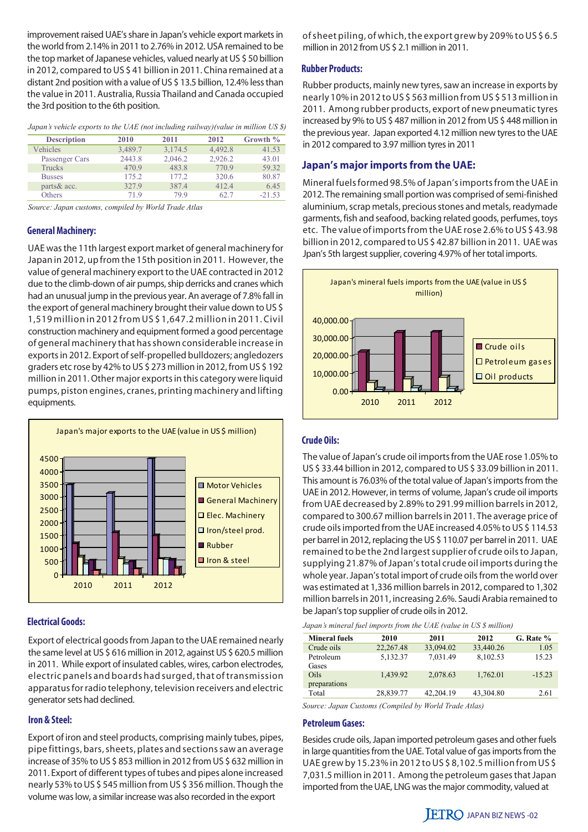improvement raised UAE's share in Japan's vehicle export markets in the world from 2.14% in 2011 to 2.76% in 2012. USA remained to be the top market of Japanese vehicles, valued nearly at US \$ 50 billion in 2012, compared to US \$ 41 billion in 2011. China remained at a distant 2nd position with a value of US \$ 13.5 billion, 12.4% less than the value in 2011. Australia, Russia Thailand and Canada occupied the 3rd position to the 6th position.

| Japan's vehicle exports to the UAE (not including railway) (value in million US \$) |  |
|-------------------------------------------------------------------------------------|--|
|-------------------------------------------------------------------------------------|--|

| <b>Description</b> | 2010    | 2011    | 2012    | Growth % |
|--------------------|---------|---------|---------|----------|
| Vehicles           | 3,489.7 | 3,174.5 | 4.492.8 | 41.53    |
| Passenger Cars     | 2443.8  | 2,046.2 | 2,926.2 | 43.01    |
| Trucks             | 470.9   | 483.8   | 770.9   | 59.32    |
| <b>Busses</b>      | 175.2   | 177.2   | 320.6   | 80.87    |
| parts & acc.       | 327.9   | 387.4   | 412.4   | 6.45     |
| Others             | 719     | 799     | 62.7    | $-21.53$ |

*Source: Japan customs, compiled by World Trade Atlas*

#### **General Machinery:**

UAE was the 11th largest export market of general machinery for Japan in 2012, up from the 15th position in 2011. However, the value of general machinery export to the UAE contracted in 2012 due to the climb-down of air pumps, ship derricks and cranes which had an unusual jump in the previous year. An average of 7.8% fall in the export of general machinery brought their value down to US \$ 1,519 million in 2012 from US \$ 1,647.2 million in 2011. Civil construction machinery and equipment formed a good percentage of general machinery that has shown considerable increase in exports in 2012. Export of self-propelled bulldozers; angledozers graders etc rose by 42% to US \$ 273 million in 2012, from US \$ 192 million in 2011. Other major exports in this category were liquid pumps, piston engines, cranes, printing machinery and lifting equipments.



#### **Electrical Goods:**

Export of electrical goods from Japan to the UAE remained nearly the same level at US \$ 616 million in 2012, against US \$ 620.5 million in 2011. While export of insulated cables, wires, carbon electrodes, electric panels and boards had surged, that of transmission apparatus for radio telephony, television receivers and electric generator sets had declined.

#### **Iron & Steel:**

Export of iron and steel products, comprising mainly tubes, pipes, pipe fittings, bars, sheets, plates and sections saw an average increase of 35% to US \$ 853 million in 2012 from US \$ 632 million in 2011. Export of different types of tubes and pipes alone increased nearly 53% to US \$ 545 million from US \$ 356 million. Though the volume was low, a similar increase was also recorded in the export

of sheet piling, of which, the export grew by 209% to US \$ 6.5 million in 2012 from US \$ 2.1 million in 2011.

#### **Rubber Products:**

Rubber products, mainly new tyres, saw an increase in exports by nearly 10% in 2012 to US \$ 563 million from US \$ 513 million in 2011. Among rubber products, export of new pneumatic tyres increased by 9% to US \$ 487 million in 2012 from US \$ 448 million in the previous year. Japan exported 4.12 million new tyres to the UAE in 2012 compared to 3.97 million tyres in 2011

#### **Japan's major imports from the UAE:**

Mineral fuels formed 98.5% of Japan's imports from the UAE in 2012. The remaining small portion was comprised of semi-finished aluminium, scrap metals, precious stones and metals, readymade garments, fish and seafood, backing related goods, perfumes, toys etc. The value of imports from the UAE rose 2.6% to US \$ 43.98 billion in 2012, compared to US \$ 42.87 billion in 2011. UAE was Jpan's 5th largest supplier, covering 4.97% of her total imports.



#### **Crude Oils:**

The value of Japan's crude oil imports from the UAE rose 1.05% to US \$ 33.44 billion in 2012, compared to US \$ 33.09 billion in 2011. This amount is 76.03% of the total value of Japan's imports from the UAE in 2012. However, in terms of volume, Japan's crude oil imports from UAE decreased by 2.89% to 291.99 million barrels in 2012, compared to 300.67 million barrels in 2011. The average price of crude oils imported from the UAE increased 4.05% to US \$ 114.53 per barrel in 2012, replacing the US \$ 110.07 per barrel in 2011. UAE remained to be the 2nd largest supplier of crude oils to Japan, supplying 21.87% of Japan's total crude oil imports during the whole year. Japan's total import of crude oils from the world over was estimated at 1,336 million barrels in 2012, compared to 1,302 million barrels in 2011, increasing 2.6%. Saudi Arabia remained to be Japan's top supplier of crude oils in 2012.

|  | Japan's mineral fuel imports from the UAE (value in US \$ million) |  |  |  |  |  |
|--|--------------------------------------------------------------------|--|--|--|--|--|
|  |                                                                    |  |  |  |  |  |

| <b>Mineral fuels</b>        | 2010      | 2011      | 2012      | G. Rate % |
|-----------------------------|-----------|-----------|-----------|-----------|
| Crude oils                  | 22,267.48 | 33,094.02 | 33,440.26 | 1.05      |
| Petroleum<br>Gases          | 5,132.37  | 7,031.49  | 8,102.53  | 15.23     |
| <b>Oils</b><br>preparations | 1,439.92  | 2,078.63  | 1,762.01  | $-15.23$  |
| Total                       | 28,839.77 | 42.204.19 | 43,304.80 | 2.61      |

*Source: Japan Customs (Compiled by World Trade Atlas)*

#### **Petroleum Gases:**

Besides crude oils, Japan imported petroleum gases and other fuels in large quantities from the UAE. Total value of gas imports from the UAE grew by 15.23% in 2012 to US \$ 8,102.5 million from US \$ 7,031.5 million in 2011. Among the petroleum gases that Japan imported from the UAE, LNG was the major commodity, valued at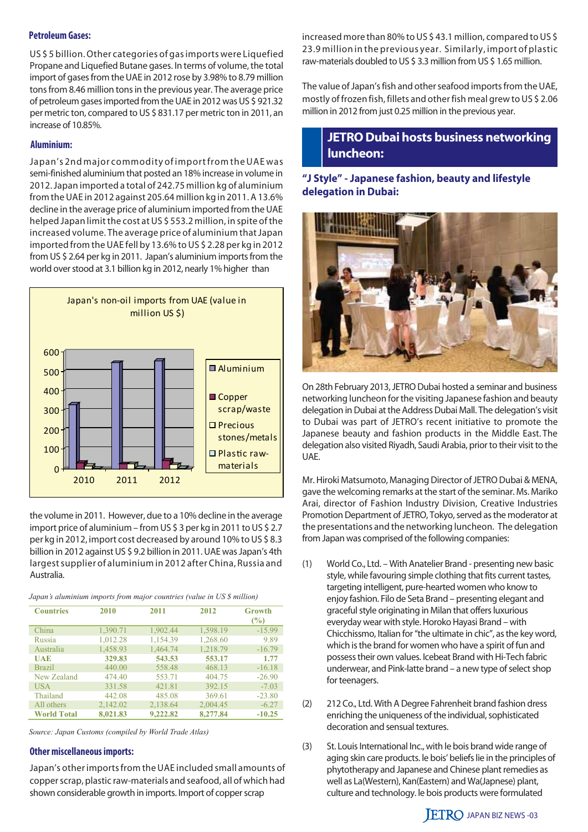#### **Petroleum Gases:**

US \$ 5 billion. Other categories of gas imports were Liquefied Propane and Liquefied Butane gases. In terms of volume, the total import of gases from the UAE in 2012 rose by 3.98% to 8.79 million tons from 8.46 million tons in the previous year. The average price of petroleum gases imported from the UAE in 2012 was US \$ 921.32 per metric ton, compared to US \$ 831.17 per metric ton in 2011, an increase of 10.85%.

#### **Aluminium:**

Japan's 2nd major commodity of import from the UAE was semi-finished aluminium that posted an 18% increase in volume in 2012. Japan imported a total of 242.75 million kg of aluminium from the UAE in 2012 against 205.64 million kg in 2011. A 13.6% decline in the average price of aluminium imported from the UAE helped Japan limit the cost at US \$ 553.2 million, in spite of the increased volume. The average price of aluminium that Japan imported from the UAE fell by 13.6% to US \$ 2.28 per kg in 2012 from US \$ 2.64 per kg in 2011. Japan's aluminium imports from the world over stood at 3.1 billion kg in 2012, nearly 1% higher than



the volume in 2011. However, due to a 10% decline in the average import price of aluminium – from US \$ 3 per kg in 2011 to US \$ 2.7 per kg in 2012, import cost decreased by around 10% to US \$ 8.3 billion in 2012 against US \$ 9.2 billion in 2011. UAE was Japan's 4th largest supplier of aluminium in 2012 after China, Russia and Australia.

| Japan's aluminium imports from major countries (value in US \$ million) |  |  |  |  |
|-------------------------------------------------------------------------|--|--|--|--|
|                                                                         |  |  |  |  |

| <b>Countries</b>   | 2010     | 2011     | 2012     | <b>Growth</b><br>$\frac{9}{6}$ |
|--------------------|----------|----------|----------|--------------------------------|
| China              | 1,390.71 | 1,902.44 | 1,598.19 | $-15.99$                       |
| Russia             | 1,012.28 | 1,154.39 | 1,268.60 | 9.89                           |
| Australia          | 1,458.93 | 1,464.74 | 1,218.79 | $-16.79$                       |
| UAE                | 329.83   | 543.53   | 553.17   | 1.77                           |
| <b>Brazil</b>      | 440.00   | 558.48   | 468.13   | $-16.18$                       |
| New Zealand        | 474.40   | 553.71   | 404.75   | $-26.90$                       |
| <b>USA</b>         | 331.58   | 421.81   | 392.15   | $-7.03$                        |
| Thailand           | 442.08   | 485.08   | 369.61   | $-23.80$                       |
| All others         | 2,142.02 | 2,138.64 | 2,004.45 | $-6.27$                        |
| <b>World Total</b> | 8,021.83 | 9,222,82 | 8,277.84 | $-10.25$                       |

*Source: Japan Customs (compiled by World Trade Atlas)*

#### **Other miscellaneous imports:**

Japan's other imports from the UAE included small amounts of copper scrap, plastic raw-materials and seafood, all of which had shown considerable growth in imports. Import of copper scrap

increased more than 80% to US \$ 43.1 million, compared to US \$ 23.9 million in the previous year. Similarly, import of plastic raw-materials doubled to US \$ 3.3 million from US \$ 1.65 million.

The value of Japan's fish and other seafood imports from the UAE, mostly of frozen fish, fillets and other fish meal grew to US \$ 2.06 million in 2012 from just 0.25 million in the previous year.

## **JETRO Dubai hosts business networking luncheon:**

## **"J Style" - Japanese fashion, beauty and lifestyle delegation in Dubai:**



On 28th February 2013, JETRO Dubai hosted a seminar and business networking luncheon for the visiting Japanese fashion and beauty delegation in Dubai at the Address Dubai Mall. The delegation's visit to Dubai was part of JETRO's recent initiative to promote the Japanese beauty and fashion products in the Middle East. The delegation also visited Riyadh, Saudi Arabia, prior to their visit to the UAE.

Mr. Hiroki Matsumoto, Managing Director of JETRO Dubai & MENA, gave the welcoming remarks at the start of the seminar. Ms. Mariko Arai, director of Fashion Industry Division, Creative Industries Promotion Department of JETRO, Tokyo, served as the moderator at the presentations and the networking luncheon. The delegation from Japan was comprised of the following companies:

- (1) World Co., Ltd. With Anatelier Brand presenting new basic style, while favouring simple clothing that fits current tastes, targeting intelligent, pure-hearted women who know to enjoy fashion. Filo de Seta Brand – presenting elegant and graceful style originating in Milan that offers luxurious everyday wear with style. Horoko Hayasi Brand – with Chicchissmo, Italian for "the ultimate in chic", as the key word, which is the brand for women who have a spirit of fun and possess their own values. Icebeat Brand with Hi-Tech fabric underwear, and Pink-latte brand – a new type of select shop for teenagers.
- (2) 212 Co., Ltd. With A Degree Fahrenheit brand fashion dress enriching the uniqueness of the individual, sophisticated decoration and sensual textures.
- (3) St. Louis International Inc., with le bois brand wide range of aging skin care products. le bois' beliefs lie in the principles of phytotherapy and Japanese and Chinese plant remedies as well as La(Western), Kan(Eastern) and Wa(Japnese) plant, culture and technology. le bois products were formulated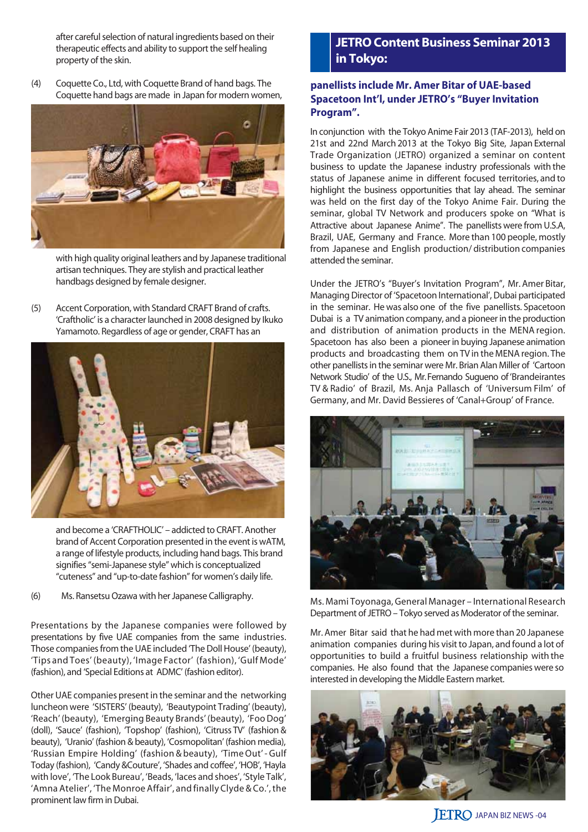after careful selection of natural ingredients based on their therapeutic effects and ability to support the self healing property of the skin.

(4) Coquette Co., Ltd, with Coquette Brand of hand bags. The Coquette hand bags are made in Japan for modern women,



with high quality original leathers and by Japanese traditional artisan techniques. They are stylish and practical leather handbags designed by female designer.

(5) Accent Corporation, with Standard CRAFT Brand of crafts. 'Craftholic' is a character launched in 2008 designed by Ikuko Yamamoto. Regardless of age or gender, CRAFT has an



 and become a 'CRAFTHOLIC' – addicted to CRAFT. Another brand of Accent Corporation presented in the event is wATM, a range of lifestyle products, including hand bags. This brand signifies "semi-Japanese style" which is conceptualized "cuteness" and "up-to-date fashion" for women's daily life.

(6) Ms. Ransetsu Ozawa with her Japanese Calligraphy.

Presentations by the Japanese companies were followed by presentations by five UAE companies from the same industries. Those companies from the UAE included 'The Doll House' (beauty), 'Tips and Toes' (beauty), 'Image Factor' (fashion), 'Gulf Mode' (fashion), and 'Special Editions at ADMC' (fashion editor).

Other UAE companies present in the seminar and the networking luncheon were 'SISTERS' (beauty), 'Beautypoint Trading' (beauty), 'Reach' (beauty), 'Emerging Beauty Brands' (beauty), 'Foo Dog' (doll), 'Sauce' (fashion), 'Topshop' (fashion), 'Citruss TV' (fashion & beauty), 'Uranio' (fashion & beauty), 'Cosmopolitan' (fashion media), 'Russian Empire Holding' (fashion & beauty), 'Time Out' - Gulf Today (fashion), 'Candy &Couture', 'Shades and coffee', 'HOB', 'Hayla with love', 'The Look Bureau', 'Beads, 'laces and shoes', 'Style Talk', 'Amna Atelier', 'The Monroe Affair', and finally Clyde & Co.', the prominent law firm in Dubai.

## **JETRO Content Business Seminar 2013 in Tokyo:**

#### **panellists include Mr. Amer Bitar of UAE-based Spacetoon Int'l, under JETRO's "Buyer Invitation Program".**

In conjunction with the Tokyo Anime Fair 2013 (TAF-2013), held on 21st and 22nd March 2013 at the Tokyo Big Site, Japan External Trade Organization (JETRO) organized a seminar on content business to update the Japanese industry professionals with the status of Japanese anime in different focused territories, and to highlight the business opportunities that lay ahead. The seminar was held on the first day of the Tokyo Anime Fair. During the seminar, global TV Network and producers spoke on "What is Attractive about Japanese Anime". The panellists were from U.S.A, Brazil, UAE, Germany and France. More than 100 people, mostly from Japanese and English production/ distribution companies attended the seminar.

Under the JETRO's "Buyer's Invitation Program", Mr. Amer Bitar, Managing Director of 'Spacetoon International', Dubai participated in the seminar. He was also one of the five panellists. Spacetoon Dubai is a TV animation company, and a pioneer in the production and distribution of animation products in the MENA region. Spacetoon has also been a pioneer in buying Japanese animation products and broadcasting them on TV in the MENA region. The other panellists in the seminar were Mr. Brian Alan Miller of 'Cartoon Network Studio' of the U.S., Mr. Fernando Sugueno of 'Brandeirantes TV & Radio' of Brazil, Ms. Anja Pallasch of 'Universum Film' of Germany, and Mr. David Bessieres of 'Canal+Group' of France.



Ms. Mami Toyonaga, General Manager – International Research Department of JETRO – Tokyo served as Moderator of the seminar.

Mr. Amer Bitar said that he had met with more than 20 Japanese animation companies during his visit to Japan, and found a lot of opportunities to build a fruitful business relationship with the companies. He also found that the Japanese companies were so interested in developing the Middle Eastern market.



**JETRO JAPAN BIZ NEWS -04**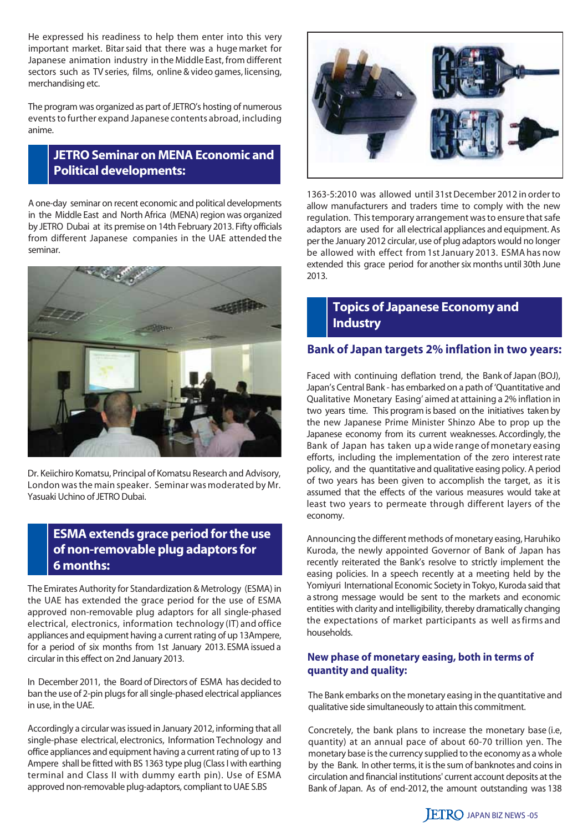He expressed his readiness to help them enter into this very important market. Bitar said that there was a huge market for Japanese animation industry in the Middle East, from different sectors such as TV series, films, online & video games, licensing, merchandising etc.

The program was organized as part of JETRO's hosting of numerous events to further expand Japanese contents abroad, including anime.

## **JETRO Seminar on MENA Economic and Political developments:**

A one-day seminar on recent economic and political developments in the Middle East and North Africa (MENA) region was organized by JETRO Dubai at its premise on 14th February 2013. Fifty officials from different Japanese companies in the UAE attended the seminar.



Dr. Keiichiro Komatsu, Principal of Komatsu Research and Advisory, London was the main speaker. Seminar was moderated by Mr. Yasuaki Uchino of JETRO Dubai.

## **ESMA extends grace period for the use of non-removable plug adaptors for 6 months:**

The Emirates Authority for Standardization & Metrology (ESMA) in the UAE has extended the grace period for the use of ESMA approved non-removable plug adaptors for all single-phased electrical, electronics, information technology (IT) and office appliances and equipment having a current rating of up 13Ampere, for a period of six months from 1st January 2013. ESMA issued a circular in this effect on 2nd January 2013.

In December 2011, the Board of Directors of ESMA has decided to ban the use of 2-pin plugs for all single-phased electrical appliances in use, in the UAE.

Accordingly a circular was issued in January 2012, informing that all single-phase electrical, electronics, Information Technology and office appliances and equipment having a current rating of up to 13 Ampere shall be fitted with BS 1363 type plug (Class I with earthing terminal and Class II with dummy earth pin). Use of ESMA approved non-removable plug-adaptors, compliant to UAE S.BS



1363-5:2010 was allowed until 31st December 2012 in order to allow manufacturers and traders time to comply with the new regulation. This temporary arrangement was to ensure that safe adaptors are used for all electrical appliances and equipment. As per the January 2012 circular, use of plug adaptors would no longer be allowed with effect from 1st January 2013. ESMA has now extended this grace period for another six months until 30th June 2013.

## **Topics of Japanese Economy and Industry**

#### **Bank of Japan targets 2% inflation in two years:**

Faced with continuing deflation trend, the Bank of Japan (BOJ), Japan's Central Bank - has embarked on a path of 'Quantitative and Qualitative Monetary Easing' aimed at attaining a 2% inflation in two years time. This program is based on the initiatives taken by the new Japanese Prime Minister Shinzo Abe to prop up the Japanese economy from its current weaknesses. Accordingly, the Bank of Japan has taken up a wide range of monetary easing efforts, including the implementation of the zero interest rate policy, and the quantitative and qualitative easing policy. A period of two years has been given to accomplish the target, as it is assumed that the effects of the various measures would take at least two years to permeate through different layers of the economy.

Announcing the different methods of monetary easing, Haruhiko Kuroda, the newly appointed Governor of Bank of Japan has recently reiterated the Bank's resolve to strictly implement the easing policies. In a speech recently at a meeting held by the Yomiyuri International Economic Society in Tokyo, Kuroda said that a strong message would be sent to the markets and economic entities with clarity and intelligibility, thereby dramatically changing the expectations of market participants as well as firms and households.

#### **New phase of monetary easing, both in terms of quantity and quality:**

The Bank embarks on the monetary easing in the quantitative and qualitative side simultaneously to attain this commitment.

Concretely, the bank plans to increase the monetary base (i.e, quantity) at an annual pace of about 60-70 trillion yen. The monetary base is the currency supplied to the economy as a whole by the Bank. In other terms, it is the sum of banknotes and coins in circulation and financial institutions' current account deposits at the Bank of Japan. As of end-2012, the amount outstanding was 138